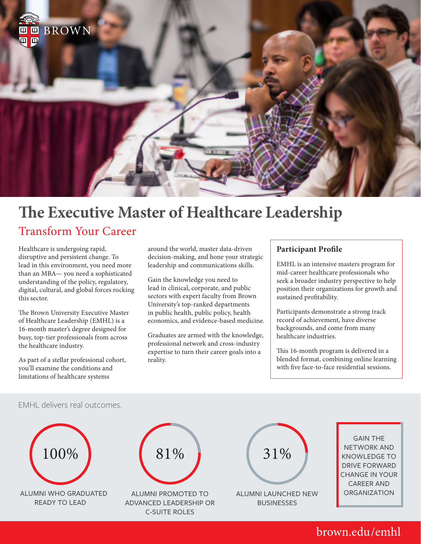

# **The Executive Master of Healthcare Leadership** Transform Your Career

Healthcare is undergoing rapid, disruptive and persistent change. To lead in this environment, you need more than an MBA— you need a sophisticated understanding of the policy, regulatory, digital, cultural, and global forces rocking this sector.

The Brown University Executive Master of Healthcare Leadership (EMHL) is a 16-month master's degree designed for busy, top-tier professionals from across the healthcare industry.

As part of a stellar professional cohort, you'll examine the conditions and limitations of healthcare systems

around the world, master data-driven decision-making, and hone your strategic leadership and communications skills.

Gain the knowledge you need to lead in clinical, corporate, and public sectors with expert faculty from Brown University's top-ranked departments in public health, public policy, health economics, and evidence-based medicine.

Graduates are armed with the knowledge, professional network and cross-industry expertise to turn their career goals into a reality.

# **Participant Profile**

EMHL is an intensive masters program for mid-career healthcare professionals who seek a broader industry perspective to help position their organizations for growth and sustained profitability.

Participants demonstrate a strong track record of achievement, have diverse backgrounds, and come from many healthcare industries.

This 16-month program is delivered in a blended format, combining online learning with five face-to-face residential sessions.



# brown.edu/emhl